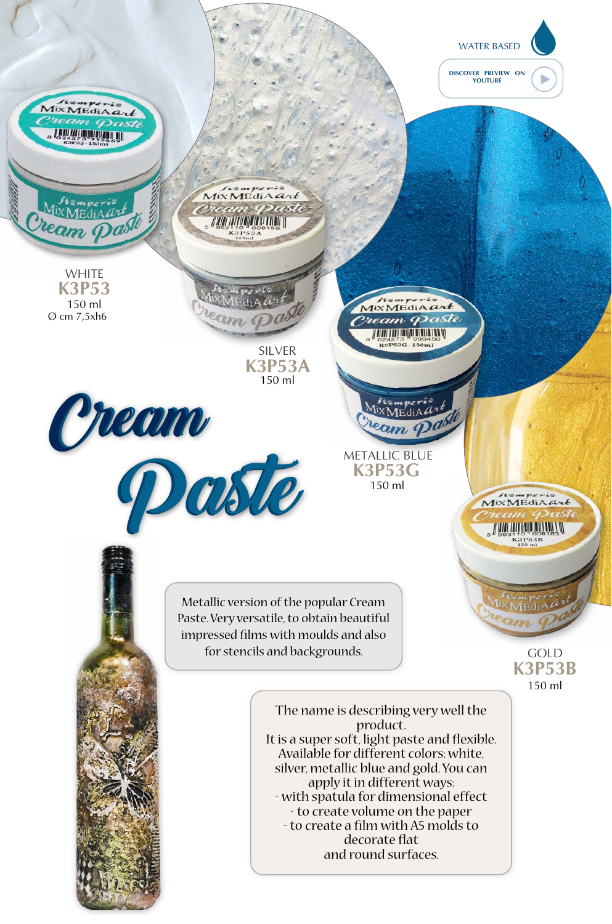